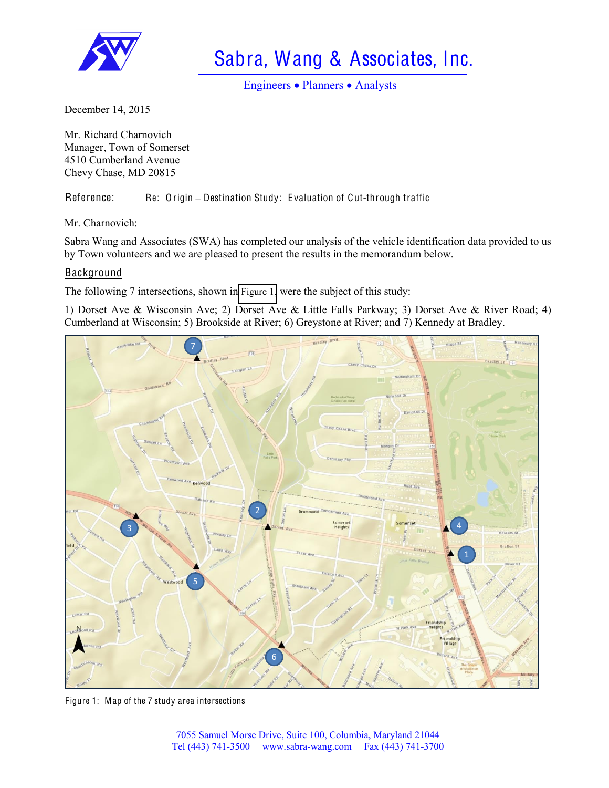

Sabra, Wang & Associates, Inc.

Engineers • Planners • Analysts

December 14, 2015

Mr. Richard Charnovich Manager, Town of Somerset 4510 Cumberland Avenue Chevy Chase, MD 20815

Reference: Re: Origin - Destination Study: Evaluation of Cut-through traffic

Mr. Charnovich:

Sabra Wang and Associates (SWA) has completed our analysis of the vehicle identification data provided to us by Town volunteers and we are pleased to present the results in the memorandum below.

# **Background**

The following 7 intersections, shown in [Figure 1,](#page-0-0) were the subject of this study:

1) Dorset Ave & Wisconsin Ave; 2) Dorset Ave & Little Falls Parkway; 3) Dorset Ave & River Road; 4) Cumberland at Wisconsin; 5) Brookside at River; 6) Greystone at River; and 7) Kennedy at Bradley.



<span id="page-0-0"></span>Figure 1: Map of the 7 study area intersections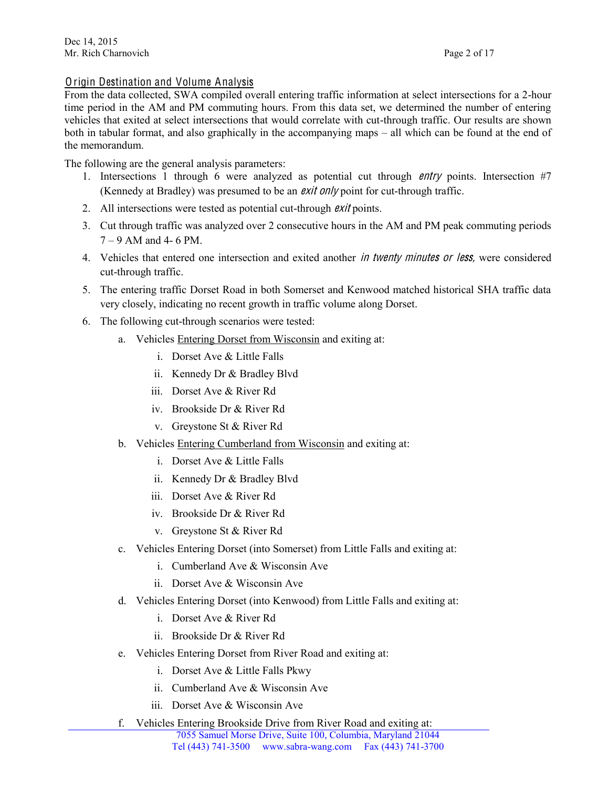# Origin Destination and Volume Analysis

From the data collected, SWA compiled overall entering traffic information at select intersections for a 2-hour time period in the AM and PM commuting hours. From this data set, we determined the number of entering vehicles that exited at select intersections that would correlate with cut-through traffic. Our results are shown both in tabular format, and also graphically in the accompanying maps – all which can be found at the end of the memorandum.

The following are the general analysis parameters:

- 1. Intersections 1 through 6 were analyzed as potential cut through <sup>e</sup>ntry points. Intersection #7 (Kennedy at Bradley) was presumed to be an *exit only* point for cut-through traffic.
- 2. All intersections were tested as potential cut-through *exit* points.
- 3. Cut through traffic was analyzed over 2 consecutive hours in the AM and PM peak commuting periods  $7 - 9$  AM and 4- 6 PM.
- 4. Vehicles that entered one intersection and exited another *in twenty minutes or less*, were considered cut-through traffic.
- 5. The entering traffic Dorset Road in both Somerset and Kenwood matched historical SHA traffic data very closely, indicating no recent growth in traffic volume along Dorset.
- 6. The following cut-through scenarios were tested:
	- a. Vehicles Entering Dorset from Wisconsin and exiting at:
		- i. Dorset Ave & Little Falls
		- ii. Kennedy Dr & Bradley Blvd
		- iii. Dorset Ave & River Rd
		- iv. Brookside Dr & River Rd
		- v. Greystone St & River Rd
	- b. Vehicles Entering Cumberland from Wisconsin and exiting at:
		- i. Dorset Ave & Little Falls
		- ii. Kennedy Dr & Bradley Blvd
		- iii. Dorset Ave & River Rd
		- iv. Brookside Dr & River Rd
		- v. Greystone St & River Rd
	- c. Vehicles Entering Dorset (into Somerset) from Little Falls and exiting at:
		- i. Cumberland Ave & Wisconsin Ave
		- ii. Dorset Ave & Wisconsin Ave
	- d. Vehicles Entering Dorset (into Kenwood) from Little Falls and exiting at:
		- i. Dorset Ave & River Rd
		- ii. Brookside Dr & River Rd
	- e. Vehicles Entering Dorset from River Road and exiting at:
		- i. Dorset Ave & Little Falls Pkwy
		- ii. Cumberland Ave & Wisconsin Ave
		- iii. Dorset Ave & Wisconsin Ave
	- f. Vehicles Entering Brookside Drive from River Road and exiting at: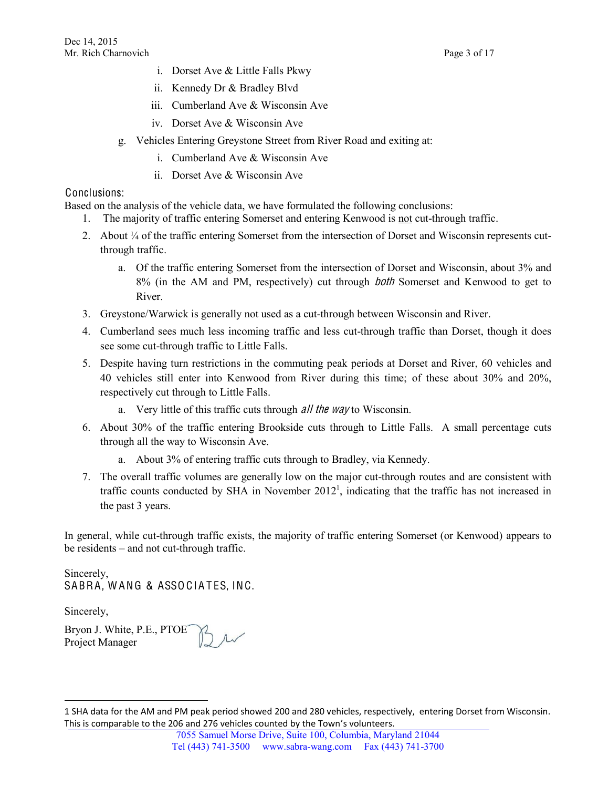- i. Dorset Ave & Little Falls Pkwy
- ii. Kennedy Dr & Bradley Blvd
- iii. Cumberland Ave & Wisconsin Ave
- iv. Dorset Ave & Wisconsin Ave
- g. Vehicles Entering Greystone Street from River Road and exiting at:
	- i. Cumberland Ave & Wisconsin Ave
	- ii. Dorset Ave & Wisconsin Ave

# Conclusions:

Based on the analysis of the vehicle data, we have formulated the following conclusions:

- The majority of traffic entering Somerset and entering Kenwood is not cut-through traffic.
- 2. About ¼ of the traffic entering Somerset from the intersection of Dorset and Wisconsin represents cutthrough traffic.
	- a. Of the traffic entering Somerset from the intersection of Dorset and Wisconsin, about 3% and 8% (in the AM and PM, respectively) cut through both Somerset and Kenwood to get to River.
- 3. Greystone/Warwick is generally not used as a cut-through between Wisconsin and River.
- 4. Cumberland sees much less incoming traffic and less cut-through traffic than Dorset, though it does see some cut-through traffic to Little Falls.
- 5. Despite having turn restrictions in the commuting peak periods at Dorset and River, 60 vehicles and 40 vehicles still enter into Kenwood from River during this time; of these about 30% and 20%, respectively cut through to Little Falls.
	- a. Very little of this traffic cuts through *all the way* to Wisconsin.
- 6. About 30% of the traffic entering Brookside cuts through to Little Falls. A small percentage cuts through all the way to Wisconsin Ave.
	- a. About 3% of entering traffic cuts through to Bradley, via Kennedy.
- 7. The overall traffic volumes are generally low on the major cut-through routes and are consistent with traffic counts conducted by SHA in November  $2012<sup>1</sup>$ , indicating that the traffic has not increased in the past 3 years.

In general, while cut-through traffic exists, the majority of traffic entering Somerset (or Kenwood) appears to be residents – and not cut-through traffic.

Sincerely, SABRA, WANG & ASSOCIATES, INC.

Sincerely,

l

Bryon J. White, P.E., PTOE Project Manager

<sup>1</sup> SHA data for the AM and PM peak period showed 200 and 280 vehicles, respectively, entering Dorset from Wisconsin. This is comparable to the 206 and 276 vehicles counted by the Town's volunteers.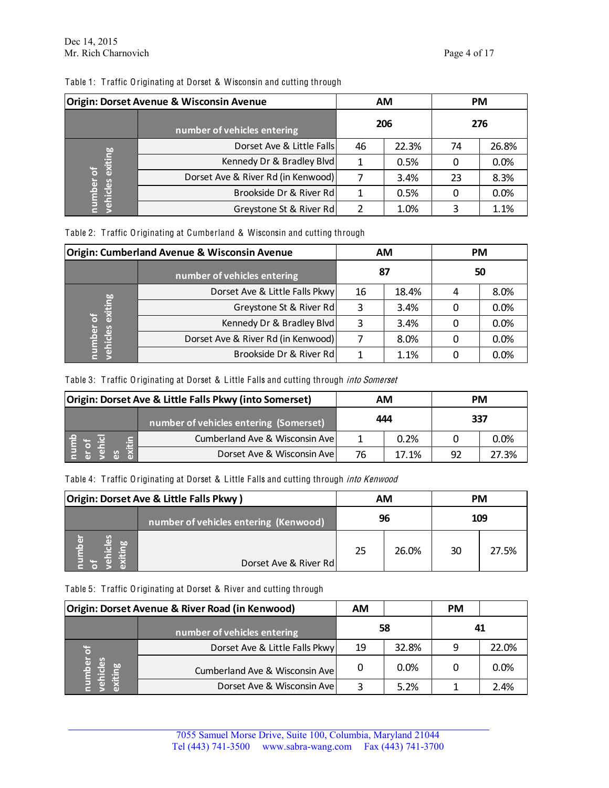| Table 1: Traffic Originating at Dorset & Wisconsin and cutting through |  |
|------------------------------------------------------------------------|--|
|------------------------------------------------------------------------|--|

| <b>Origin: Dorset Avenue &amp; Wisconsin Avenue</b> |                                    | <b>AM</b> |       | <b>PM</b> |       |
|-----------------------------------------------------|------------------------------------|-----------|-------|-----------|-------|
|                                                     | number of vehicles entering        | 206       |       | 276       |       |
| exiting<br>히<br>number<br>vehicles                  | Dorset Ave & Little Falls          | 46        | 22.3% | 74        | 26.8% |
|                                                     | Kennedy Dr & Bradley Blvd          |           | 0.5%  |           | 0.0%  |
|                                                     | Dorset Ave & River Rd (in Kenwood) |           | 3.4%  | 23        | 8.3%  |
|                                                     | Brookside Dr & River Rd            |           | 0.5%  |           | 0.0%  |
|                                                     | Greystone St & River Rd            |           | 1.0%  |           | 1.1%  |

Table 2: T raffic Originating at Cumberland & Wisconsin and cutting through

| <b>Origin: Cumberland Avenue &amp; Wisconsin Avenue</b> |                                    |    | AM    | <b>PM</b> |      |
|---------------------------------------------------------|------------------------------------|----|-------|-----------|------|
|                                                         | number of vehicles entering        | 87 |       | 50        |      |
| exiting<br>る<br>number<br>vehicles                      | Dorset Ave & Little Falls Pkwy     | 16 | 18.4% |           | 8.0% |
|                                                         | Greystone St & River Rd            |    | 3.4%  |           | 0.0% |
|                                                         | Kennedy Dr & Bradley Blvd          |    | 3.4%  |           | 0.0% |
|                                                         | Dorset Ave & River Rd (in Kenwood) |    | 8.0%  |           | 0.0% |
|                                                         | Brookside Dr & River Rd            |    | 1.1%  |           | 0.0% |

## Table 3: Traffic Originating at Dorset & Little Falls and cutting through into Somerset

| <b>Origin: Dorset Ave &amp; Little Falls Pkwy (into Somerset)</b> |                                        | ΑМ  |       | <b>PM</b> |       |
|-------------------------------------------------------------------|----------------------------------------|-----|-------|-----------|-------|
|                                                                   | number of vehicles entering (Somerset) | 444 |       | 337       |       |
|                                                                   | Cumberland Ave & Wisconsin Ave         |     | 0.2%  |           | 0.0%  |
| $\mathbf{G}$                                                      | Dorset Ave & Wisconsin Ave             | 76  | 17.1% | 92        | 27.3% |

#### Table 4: Traffic Originating at Dorset & Little Falls and cutting through into Kenwood

| Origin: Dorset Ave & Little Falls Pkwy) |                                        | AM |       | <b>PM</b> |       |
|-----------------------------------------|----------------------------------------|----|-------|-----------|-------|
|                                         | number of vehicles entering (Kenwood), | 96 |       | 109       |       |
| စိ<br><b>usquu</b><br>$\overline{a}$    | Dorset Ave & River Rd                  | 25 | 26.0% | 30        | 27.5% |

#### Table 5: T raffic Originating at Dorset & River and cutting through

| Origin: Dorset Avenue & River Road (in Kenwood) |                                | АM |       | <b>PM</b> |       |
|-------------------------------------------------|--------------------------------|----|-------|-----------|-------|
|                                                 | number of vehicles entering    | 58 |       | 41        |       |
|                                                 | Dorset Ave & Little Falls Pkwy | 19 | 32.8% | q         | 22.0% |
| res<br>اقتصاد<br>اقتصاد                         | Cumberland Ave & Wisconsin Ave | 0  | 0.0%  |           | 0.0%  |
| 들 중                                             | Dorset Ave & Wisconsin Ave     |    | 5.2%  |           | 2.4%  |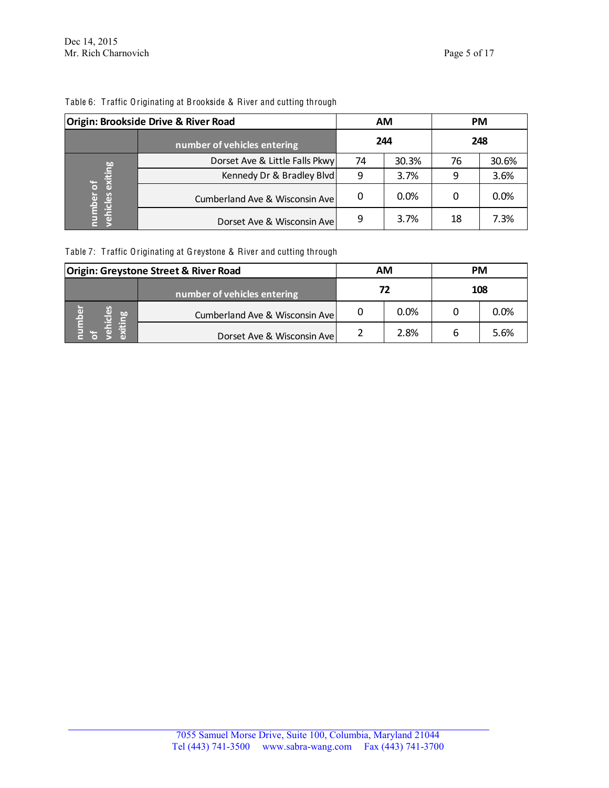| Origin: Brookside Drive & River Road |                                | <b>AM</b> |       | <b>PM</b> |       |
|--------------------------------------|--------------------------------|-----------|-------|-----------|-------|
|                                      | number of vehicles entering    | 244       |       | 248       |       |
| exiting<br>number<br>vehicles        | Dorset Ave & Little Falls Pkwy | 74        | 30.3% | 76        | 30.6% |
|                                      | Kennedy Dr & Bradley Blvd      | q         | 3.7%  |           | 3.6%  |
|                                      | Cumberland Ave & Wisconsin Ave | 0         | 0.0%  |           | 0.0%  |
|                                      | Dorset Ave & Wisconsin Ave     | 9         | 3.7%  | 18        | 7.3%  |

## Table 6: T raffic Originating at Brookside & River and cutting through

Table 7: T raffic Originating at Greystone & River and cutting through

| <b>Origin: Greystone Street &amp; River Road</b> |                                | АM |      | <b>PM</b> |      |
|--------------------------------------------------|--------------------------------|----|------|-----------|------|
|                                                  | number of vehicles entering    | 72 |      | 108       |      |
| ပိ<br>lequ<br>$\mathbf{g}$                       | Cumberland Ave & Wisconsin Ave |    | 0.0% |           | 0.0% |
|                                                  | Dorset Ave & Wisconsin Ave     |    | 2.8% |           | 5.6% |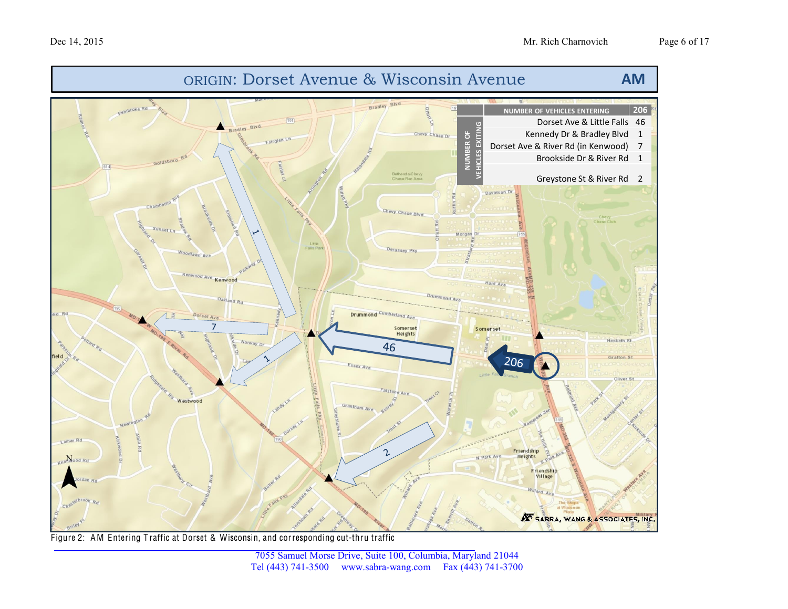

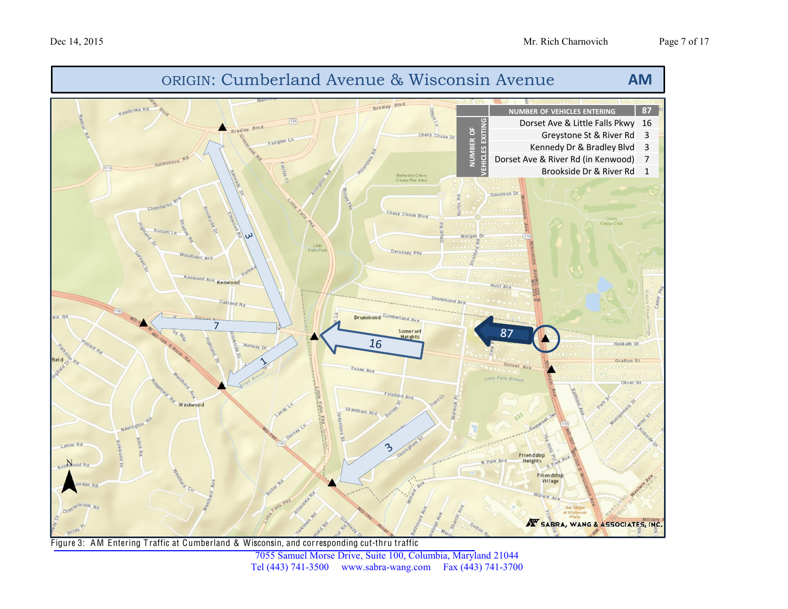

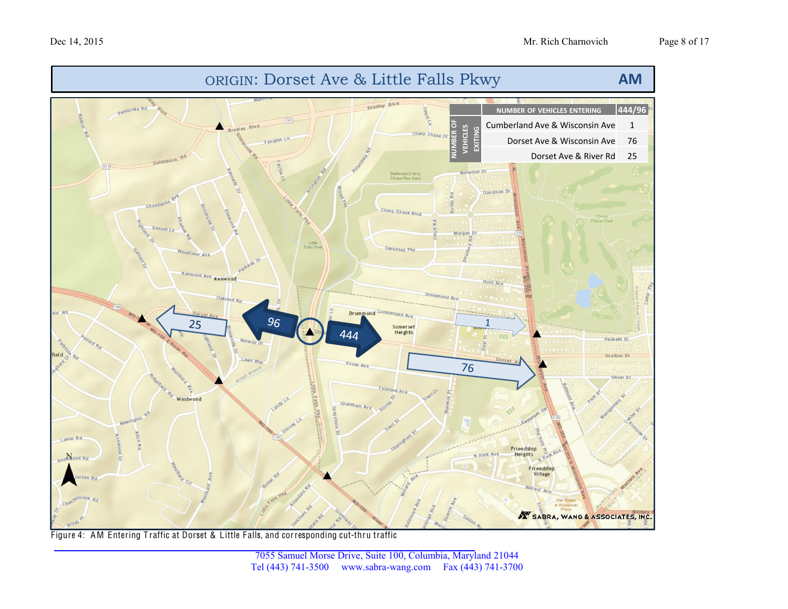

Figure 4: AM Entering Traffic at Dorset & Little Falls, and corresponding cut-thru traffic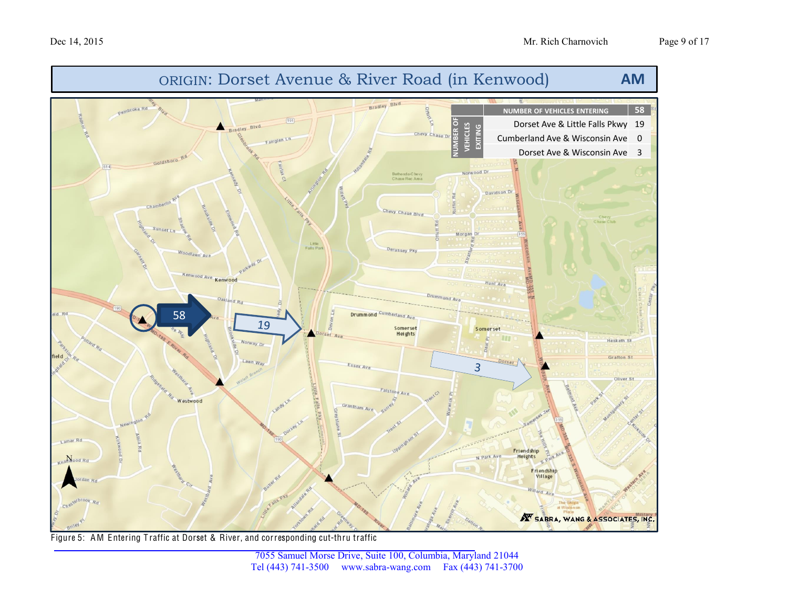

Figure 5: AM Entering Traffic at Dorset & River, and corresponding cut-thru traffic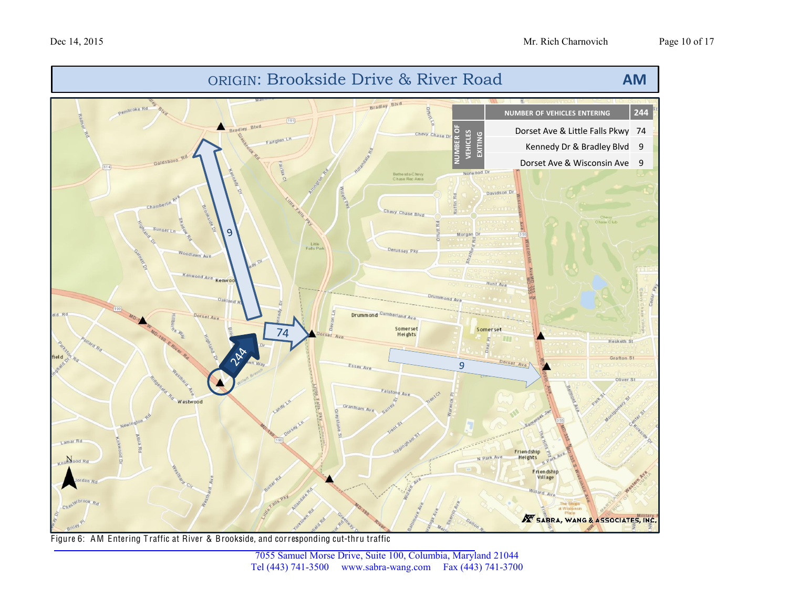



Figure 6: AM Entering Traffic at River & Brookside, and corresponding cut-thru traffic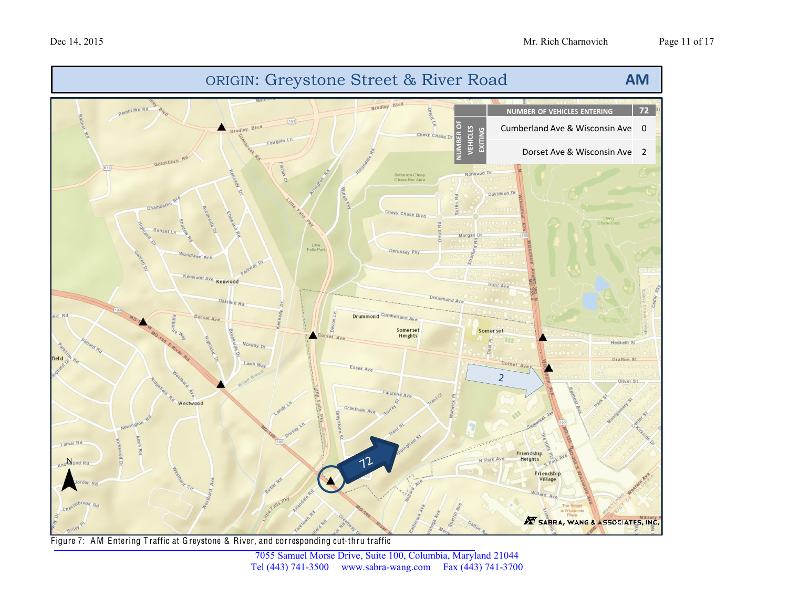

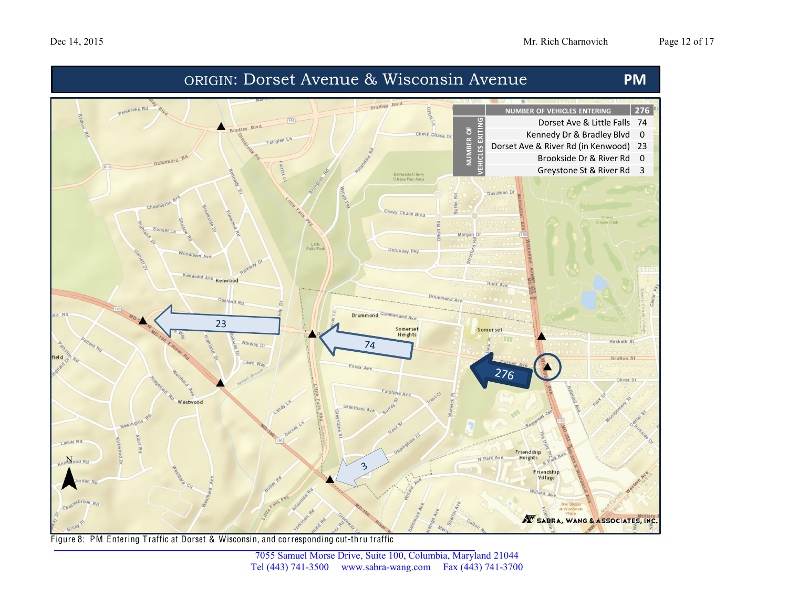

Figure 8: PM Entering Traffic at Dorset & Wisconsin, and corresponding cut-thru traffic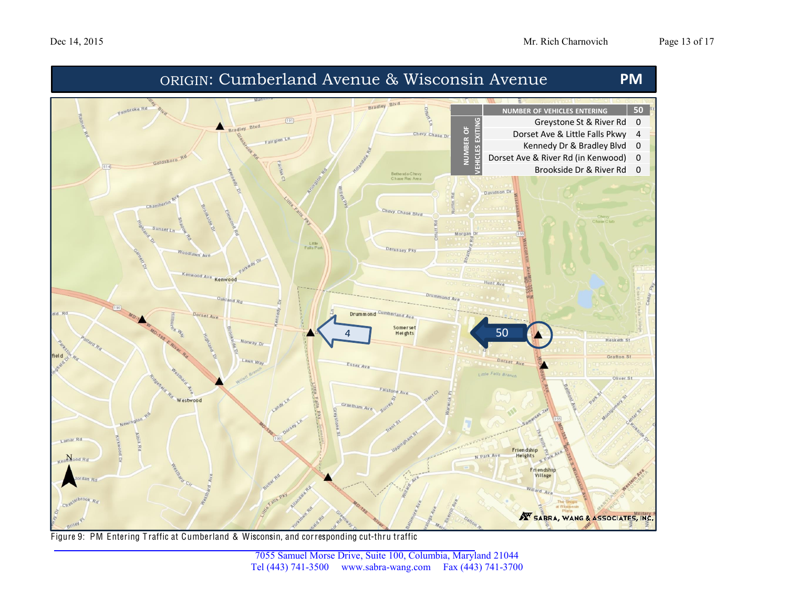

Figure 9: PM Entering Traffic at Cumberland & Wisconsin, and corresponding cut-thru traffic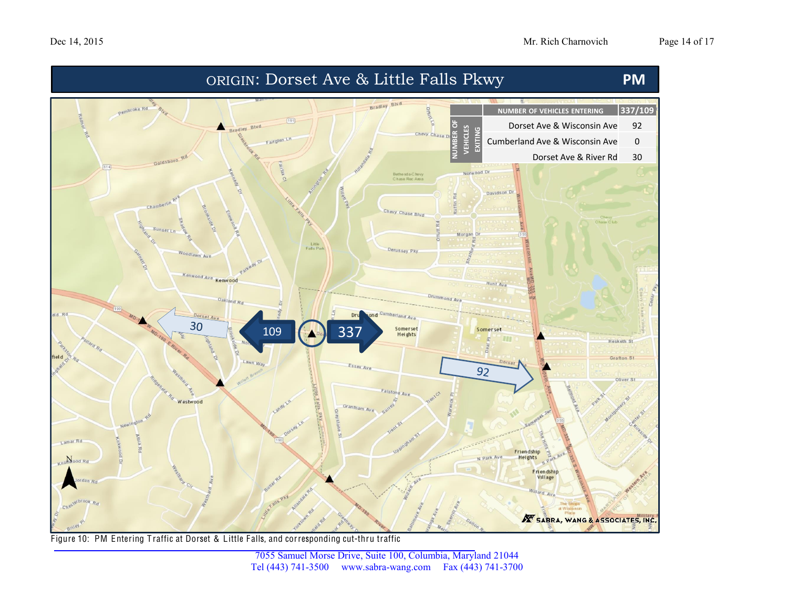

Figure 10: PM Entering Traffic at Dorset & Little Falls, and corresponding cut-thru traffic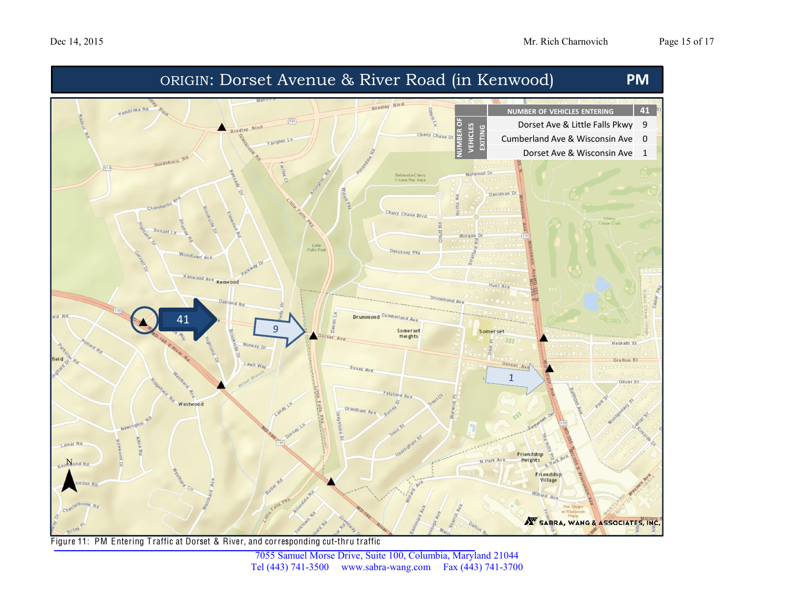

![](_page_14_Figure_3.jpeg)

![](_page_14_Figure_4.jpeg)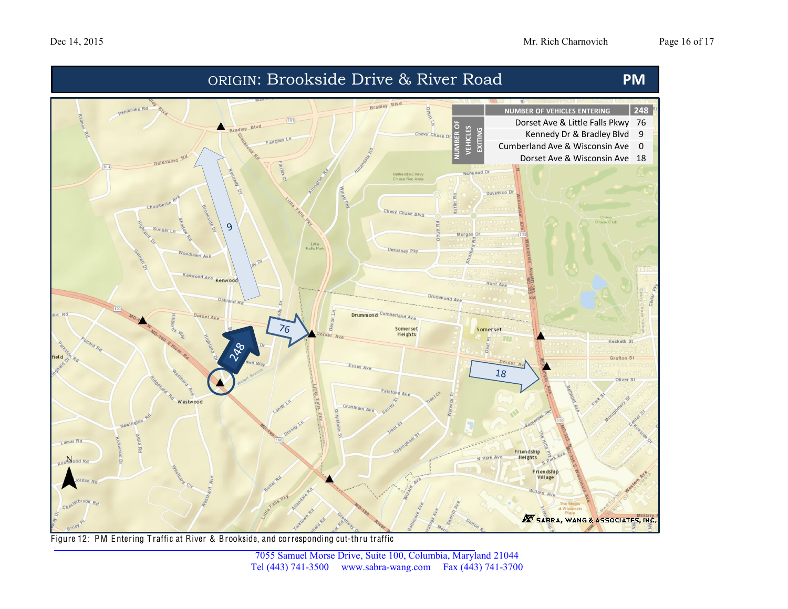![](_page_15_Figure_2.jpeg)

Figure 12: PM Entering Traffic at River & Brookside, and corresponding cut-thru traffic